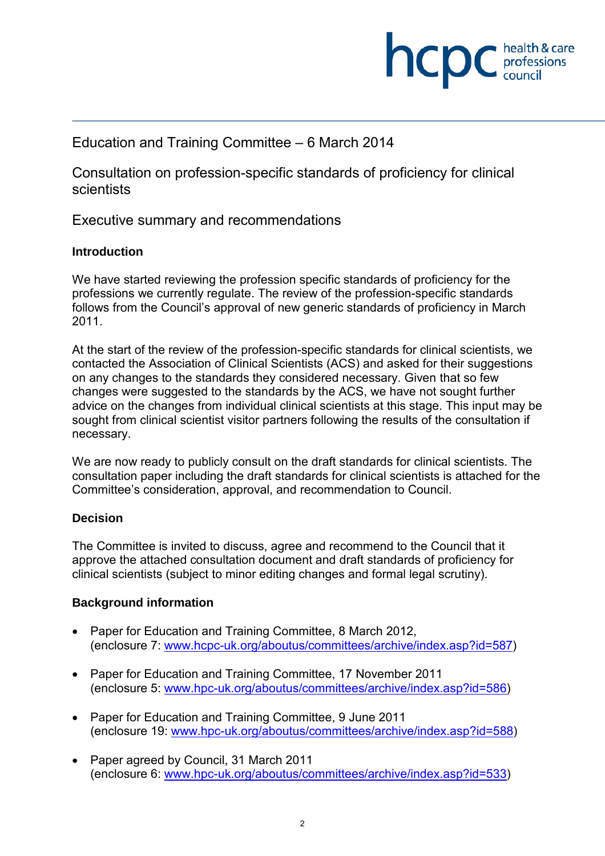

## Education and Training Committee – 6 March 2014

Consultation on profession-specific standards of proficiency for clinical scientists

Executive summary and recommendations

#### **Introduction**

We have started reviewing the profession specific standards of proficiency for the professions we currently regulate. The review of the profession-specific standards follows from the Council's approval of new generic standards of proficiency in March 2011.

At the start of the review of the profession-specific standards for clinical scientists, we contacted the Association of Clinical Scientists (ACS) and asked for their suggestions on any changes to the standards they considered necessary. Given that so few changes were suggested to the standards by the ACS, we have not sought further advice on the changes from individual clinical scientists at this stage. This input may be sought from clinical scientist visitor partners following the results of the consultation if necessary.

We are now ready to publicly consult on the draft standards for clinical scientists. The consultation paper including the draft standards for clinical scientists is attached for the Committee's consideration, approval, and recommendation to Council.

### **Decision**

The Committee is invited to discuss, agree and recommend to the Council that it approve the attached consultation document and draft standards of proficiency for clinical scientists (subject to minor editing changes and formal legal scrutiny).

### **Background information**

- Paper for Education and Training Committee, 8 March 2012, (enclosure 7: www.hcpc-uk.org/aboutus/committees/archive/index.asp?id=587)
- Paper for Education and Training Committee, 17 November 2011 (enclosure 5: www.hpc-uk.org/aboutus/committees/archive/index.asp?id=586)
- Paper for Education and Training Committee, 9 June 2011 (enclosure 19: www.hpc-uk.org/aboutus/committees/archive/index.asp?id=588)
- Paper agreed by Council, 31 March 2011 (enclosure 6: www.hpc-uk.org/aboutus/committees/archive/index.asp?id=533)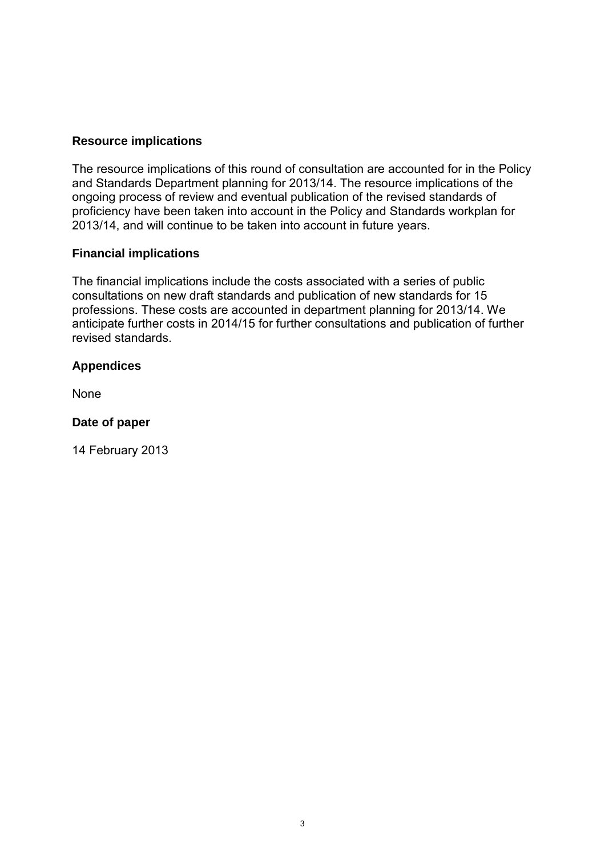### **Resource implications**

The resource implications of this round of consultation are accounted for in the Policy and Standards Department planning for 2013/14. The resource implications of the ongoing process of review and eventual publication of the revised standards of proficiency have been taken into account in the Policy and Standards workplan for 2013/14, and will continue to be taken into account in future years.

### **Financial implications**

The financial implications include the costs associated with a series of public consultations on new draft standards and publication of new standards for 15 professions. These costs are accounted in department planning for 2013/14. We anticipate further costs in 2014/15 for further consultations and publication of further revised standards.

### **Appendices**

None

### **Date of paper**

14 February 2013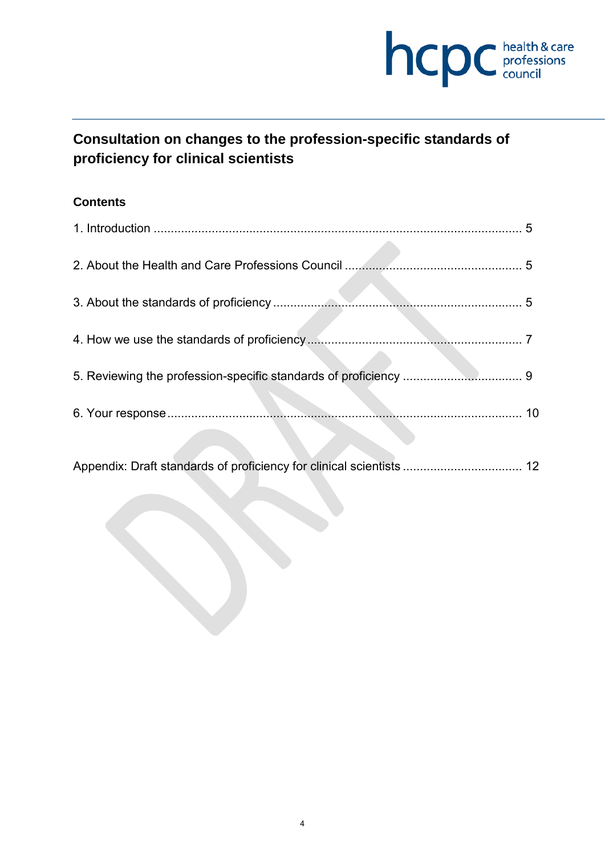

# **Consultation on changes to the profession-specific standards of proficiency for clinical scientists**

## **Contents**

| $5^{\circ}$ |
|-------------|
|             |
|             |
|             |
|             |
| 10          |
| 12          |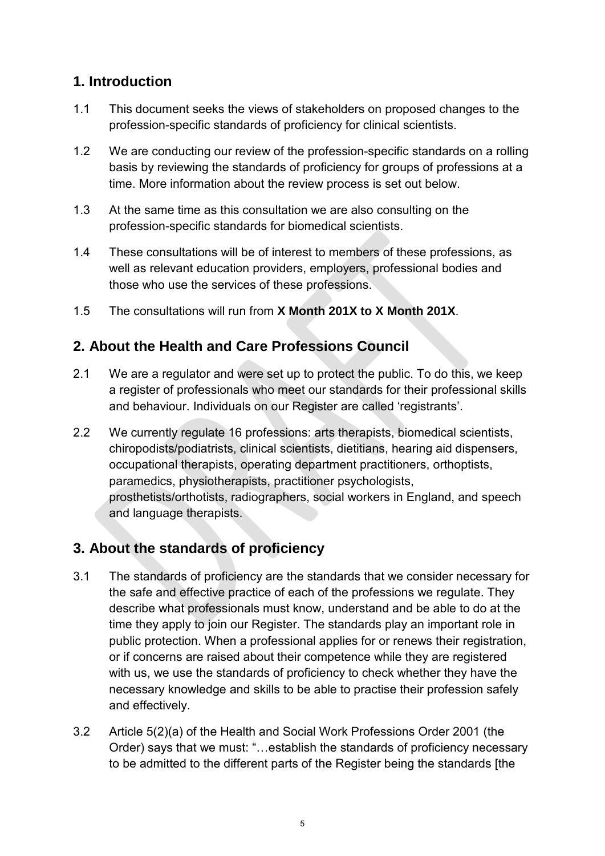# **1. Introduction**

- 1.1 This document seeks the views of stakeholders on proposed changes to the profession-specific standards of proficiency for clinical scientists.
- 1.2 We are conducting our review of the profession-specific standards on a rolling basis by reviewing the standards of proficiency for groups of professions at a time. More information about the review process is set out below.
- 1.3 At the same time as this consultation we are also consulting on the profession-specific standards for biomedical scientists.
- 1.4 These consultations will be of interest to members of these professions, as well as relevant education providers, employers, professional bodies and those who use the services of these professions.
- 1.5 The consultations will run from **X Month 201X to X Month 201X**.

# **2. About the Health and Care Professions Council**

- 2.1 We are a regulator and were set up to protect the public. To do this, we keep a register of professionals who meet our standards for their professional skills and behaviour. Individuals on our Register are called 'registrants'.
- 2.2 We currently regulate 16 professions: arts therapists, biomedical scientists, chiropodists/podiatrists, clinical scientists, dietitians, hearing aid dispensers, occupational therapists, operating department practitioners, orthoptists, paramedics, physiotherapists, practitioner psychologists, prosthetists/orthotists, radiographers, social workers in England, and speech and language therapists.

# **3. About the standards of proficiency**

- 3.1 The standards of proficiency are the standards that we consider necessary for the safe and effective practice of each of the professions we regulate. They describe what professionals must know, understand and be able to do at the time they apply to join our Register. The standards play an important role in public protection. When a professional applies for or renews their registration, or if concerns are raised about their competence while they are registered with us, we use the standards of proficiency to check whether they have the necessary knowledge and skills to be able to practise their profession safely and effectively.
- 3.2 Article 5(2)(a) of the Health and Social Work Professions Order 2001 (the Order) says that we must: "…establish the standards of proficiency necessary to be admitted to the different parts of the Register being the standards [the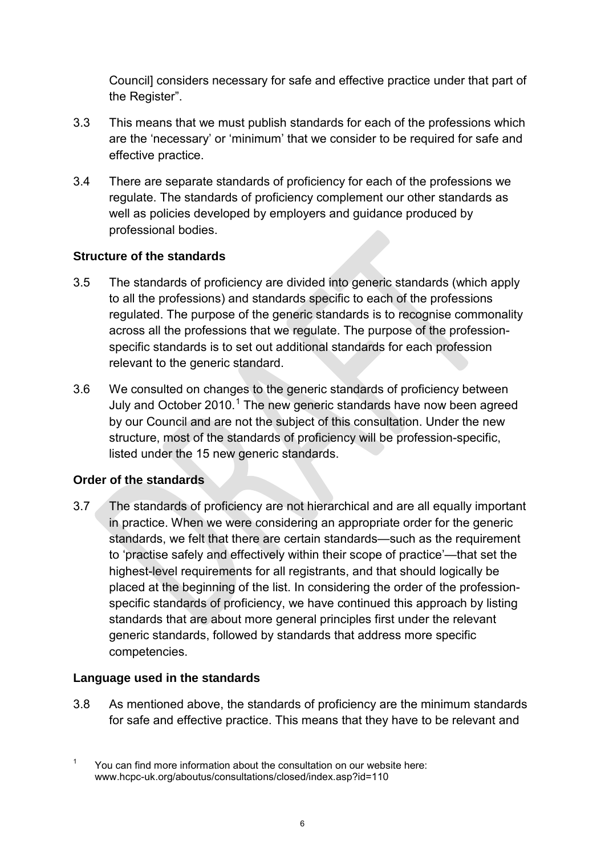Council] considers necessary for safe and effective practice under that part of the Register".

- 3.3 This means that we must publish standards for each of the professions which are the 'necessary' or 'minimum' that we consider to be required for safe and effective practice.
- 3.4 There are separate standards of proficiency for each of the professions we regulate. The standards of proficiency complement our other standards as well as policies developed by employers and guidance produced by professional bodies.

### **Structure of the standards**

- 3.5 The standards of proficiency are divided into generic standards (which apply to all the professions) and standards specific to each of the professions regulated. The purpose of the generic standards is to recognise commonality across all the professions that we regulate. The purpose of the professionspecific standards is to set out additional standards for each profession relevant to the generic standard.
- 3.6 We consulted on changes to the generic standards of proficiency between July and October 2010.<sup>1</sup> The new generic standards have now been agreed by our Council and are not the subject of this consultation. Under the new structure, most of the standards of proficiency will be profession-specific, listed under the 15 new generic standards.

## **Order of the standards**

3.7 The standards of proficiency are not hierarchical and are all equally important in practice. When we were considering an appropriate order for the generic standards, we felt that there are certain standards—such as the requirement to 'practise safely and effectively within their scope of practice'—that set the highest-level requirements for all registrants, and that should logically be placed at the beginning of the list. In considering the order of the professionspecific standards of proficiency, we have continued this approach by listing standards that are about more general principles first under the relevant generic standards, followed by standards that address more specific competencies.

## **Language used in the standards**

3.8 As mentioned above, the standards of proficiency are the minimum standards for safe and effective practice. This means that they have to be relevant and

<sup>&</sup>lt;sup>1</sup> You can find more information about the consultation on our website here: www.hcpc-uk.org/aboutus/consultations/closed/index.asp?id=110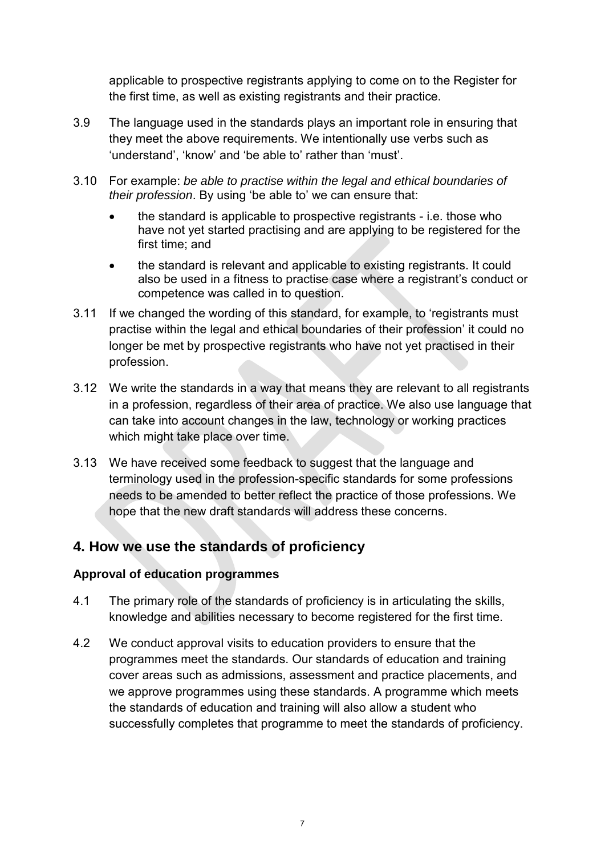applicable to prospective registrants applying to come on to the Register for the first time, as well as existing registrants and their practice.

- 3.9 The language used in the standards plays an important role in ensuring that they meet the above requirements. We intentionally use verbs such as 'understand', 'know' and 'be able to' rather than 'must'.
- 3.10 For example: *be able to practise within the legal and ethical boundaries of their profession*. By using 'be able to' we can ensure that:
	- the standard is applicable to prospective registrants i.e. those who have not yet started practising and are applying to be registered for the first time; and
	- the standard is relevant and applicable to existing registrants. It could also be used in a fitness to practise case where a registrant's conduct or competence was called in to question.
- 3.11 If we changed the wording of this standard, for example, to 'registrants must practise within the legal and ethical boundaries of their profession' it could no longer be met by prospective registrants who have not yet practised in their profession.
- 3.12 We write the standards in a way that means they are relevant to all registrants in a profession, regardless of their area of practice. We also use language that can take into account changes in the law, technology or working practices which might take place over time.
- 3.13 We have received some feedback to suggest that the language and terminology used in the profession-specific standards for some professions needs to be amended to better reflect the practice of those professions. We hope that the new draft standards will address these concerns.

# **4. How we use the standards of proficiency**

### **Approval of education programmes**

- 4.1 The primary role of the standards of proficiency is in articulating the skills, knowledge and abilities necessary to become registered for the first time.
- 4.2 We conduct approval visits to education providers to ensure that the programmes meet the standards. Our standards of education and training cover areas such as admissions, assessment and practice placements, and we approve programmes using these standards. A programme which meets the standards of education and training will also allow a student who successfully completes that programme to meet the standards of proficiency.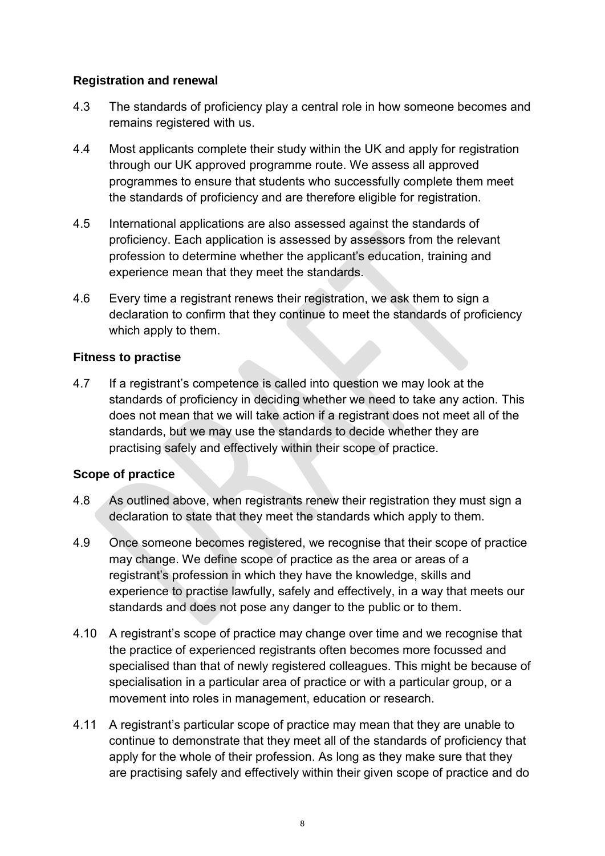### **Registration and renewal**

- 4.3 The standards of proficiency play a central role in how someone becomes and remains registered with us.
- 4.4 Most applicants complete their study within the UK and apply for registration through our UK approved programme route. We assess all approved programmes to ensure that students who successfully complete them meet the standards of proficiency and are therefore eligible for registration.
- 4.5 International applications are also assessed against the standards of proficiency. Each application is assessed by assessors from the relevant profession to determine whether the applicant's education, training and experience mean that they meet the standards.
- 4.6 Every time a registrant renews their registration, we ask them to sign a declaration to confirm that they continue to meet the standards of proficiency which apply to them.

#### **Fitness to practise**

4.7 If a registrant's competence is called into question we may look at the standards of proficiency in deciding whether we need to take any action. This does not mean that we will take action if a registrant does not meet all of the standards, but we may use the standards to decide whether they are practising safely and effectively within their scope of practice.

### **Scope of practice**

- 4.8 As outlined above, when registrants renew their registration they must sign a declaration to state that they meet the standards which apply to them.
- 4.9 Once someone becomes registered, we recognise that their scope of practice may change. We define scope of practice as the area or areas of a registrant's profession in which they have the knowledge, skills and experience to practise lawfully, safely and effectively, in a way that meets our standards and does not pose any danger to the public or to them.
- 4.10 A registrant's scope of practice may change over time and we recognise that the practice of experienced registrants often becomes more focussed and specialised than that of newly registered colleagues. This might be because of specialisation in a particular area of practice or with a particular group, or a movement into roles in management, education or research.
- 4.11 A registrant's particular scope of practice may mean that they are unable to continue to demonstrate that they meet all of the standards of proficiency that apply for the whole of their profession. As long as they make sure that they are practising safely and effectively within their given scope of practice and do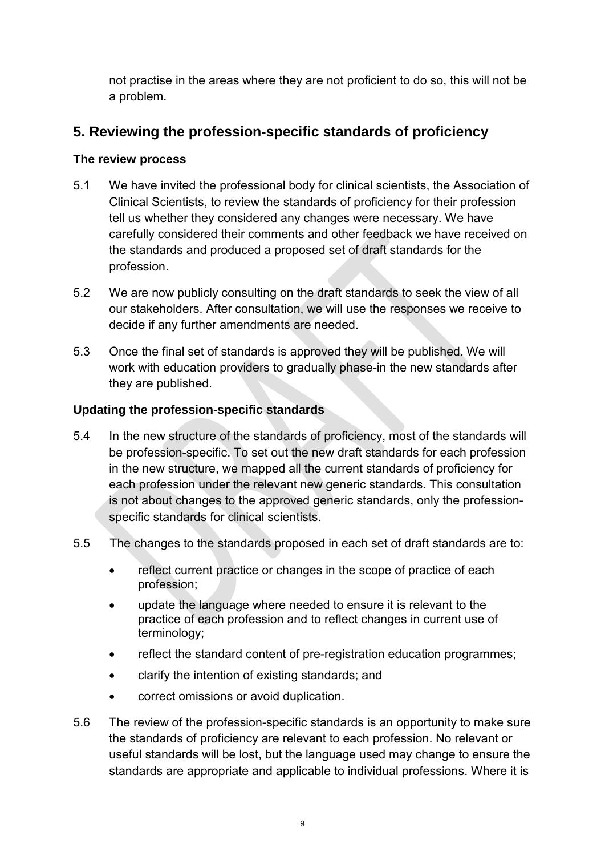not practise in the areas where they are not proficient to do so, this will not be a problem.

# **5. Reviewing the profession-specific standards of proficiency**

### **The review process**

- 5.1 We have invited the professional body for clinical scientists, the Association of Clinical Scientists, to review the standards of proficiency for their profession tell us whether they considered any changes were necessary. We have carefully considered their comments and other feedback we have received on the standards and produced a proposed set of draft standards for the profession.
- 5.2 We are now publicly consulting on the draft standards to seek the view of all our stakeholders. After consultation, we will use the responses we receive to decide if any further amendments are needed.
- 5.3 Once the final set of standards is approved they will be published. We will work with education providers to gradually phase-in the new standards after they are published.

### **Updating the profession-specific standards**

- 5.4 In the new structure of the standards of proficiency, most of the standards will be profession-specific. To set out the new draft standards for each profession in the new structure, we mapped all the current standards of proficiency for each profession under the relevant new generic standards. This consultation is not about changes to the approved generic standards, only the professionspecific standards for clinical scientists.
- 5.5 The changes to the standards proposed in each set of draft standards are to:
	- reflect current practice or changes in the scope of practice of each profession;
	- update the language where needed to ensure it is relevant to the practice of each profession and to reflect changes in current use of terminology;
	- reflect the standard content of pre-registration education programmes;
	- clarify the intention of existing standards; and
	- correct omissions or avoid duplication.
- 5.6 The review of the profession-specific standards is an opportunity to make sure the standards of proficiency are relevant to each profession. No relevant or useful standards will be lost, but the language used may change to ensure the standards are appropriate and applicable to individual professions. Where it is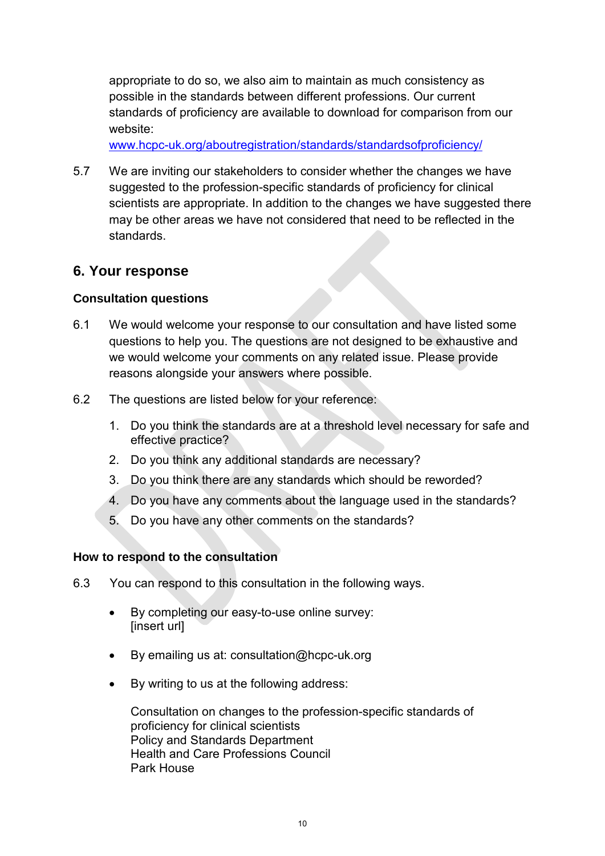appropriate to do so, we also aim to maintain as much consistency as possible in the standards between different professions. Our current standards of proficiency are available to download for comparison from our website:

www.hcpc-uk.org/aboutregistration/standards/standardsofproficiency/

5.7 We are inviting our stakeholders to consider whether the changes we have suggested to the profession-specific standards of proficiency for clinical scientists are appropriate. In addition to the changes we have suggested there may be other areas we have not considered that need to be reflected in the standards.

# **6. Your response**

### **Consultation questions**

- 6.1 We would welcome your response to our consultation and have listed some questions to help you. The questions are not designed to be exhaustive and we would welcome your comments on any related issue. Please provide reasons alongside your answers where possible.
- 6.2 The questions are listed below for your reference:
	- 1. Do you think the standards are at a threshold level necessary for safe and effective practice?
	- 2. Do you think any additional standards are necessary?
	- 3. Do you think there are any standards which should be reworded?
	- 4. Do you have any comments about the language used in the standards?
	- 5. Do you have any other comments on the standards?

### **How to respond to the consultation**

- 6.3 You can respond to this consultation in the following ways.
	- By completing our easy-to-use online survey: [insert url]
	- By emailing us at: consultation@hcpc-uk.org
	- By writing to us at the following address:

Consultation on changes to the profession-specific standards of proficiency for clinical scientists Policy and Standards Department Health and Care Professions Council Park House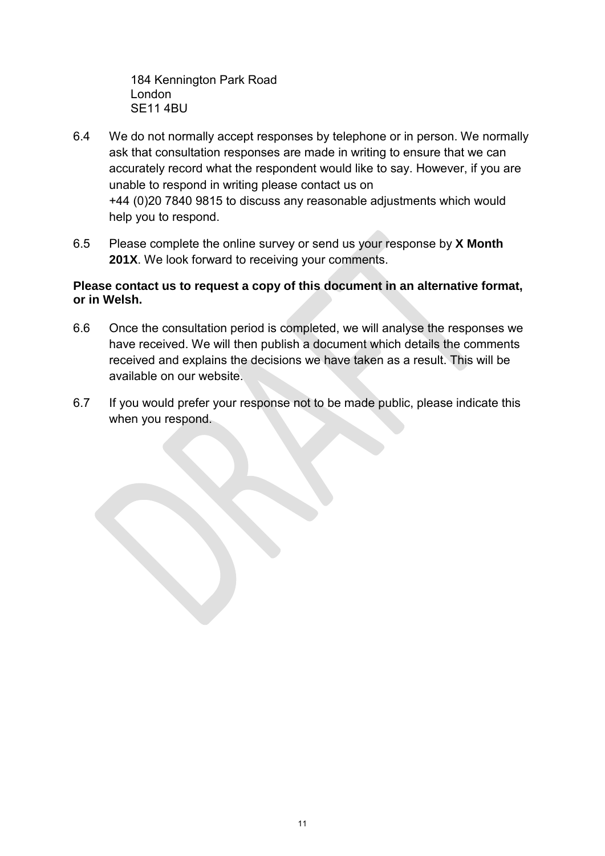184 Kennington Park Road London SE11 4BU

- 6.4 We do not normally accept responses by telephone or in person. We normally ask that consultation responses are made in writing to ensure that we can accurately record what the respondent would like to say. However, if you are unable to respond in writing please contact us on +44 (0)20 7840 9815 to discuss any reasonable adjustments which would help you to respond.
- 6.5 Please complete the online survey or send us your response by **X Month 201X**. We look forward to receiving your comments.

### **Please contact us to request a copy of this document in an alternative format, or in Welsh.**

- 6.6 Once the consultation period is completed, we will analyse the responses we have received. We will then publish a document which details the comments received and explains the decisions we have taken as a result. This will be available on our website.
- 6.7 If you would prefer your response not to be made public, please indicate this when you respond.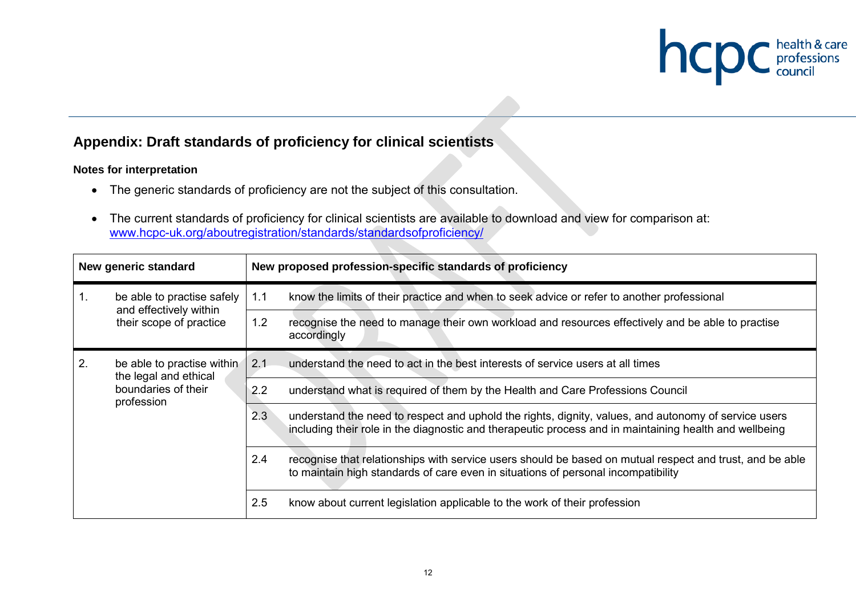

# **Appendix: Draft standards of proficiency for clinical scientists**

#### **Notes for interpretation**

- The generic standards of proficiency are not the subject of this consultation.
- The current standards of proficiency for clinical scientists are available to download and view for comparison at: www.hcpc-uk.org/aboutregistration/standards/standardsofproficiency/

| New generic standard             |                                                            |                                                                                            | New proposed profession-specific standards of proficiency                                                                                                                                                      |
|----------------------------------|------------------------------------------------------------|--------------------------------------------------------------------------------------------|----------------------------------------------------------------------------------------------------------------------------------------------------------------------------------------------------------------|
| be able to practise safely       | 1.1                                                        | know the limits of their practice and when to seek advice or refer to another professional |                                                                                                                                                                                                                |
|                                  | and effectively within<br>their scope of practice          | 1.2                                                                                        | recognise the need to manage their own workload and resources effectively and be able to practise<br>accordingly                                                                                               |
| 2.<br>be able to practise within | 2.1                                                        | understand the need to act in the best interests of service users at all times             |                                                                                                                                                                                                                |
|                                  | the legal and ethical<br>boundaries of their<br>profession | 2.2                                                                                        | understand what is required of them by the Health and Care Professions Council                                                                                                                                 |
|                                  |                                                            | 2.3                                                                                        | understand the need to respect and uphold the rights, dignity, values, and autonomy of service users<br>including their role in the diagnostic and therapeutic process and in maintaining health and wellbeing |
|                                  |                                                            | 2.4                                                                                        | recognise that relationships with service users should be based on mutual respect and trust, and be able<br>to maintain high standards of care even in situations of personal incompatibility                  |
|                                  |                                                            | 2.5                                                                                        | know about current legislation applicable to the work of their profession                                                                                                                                      |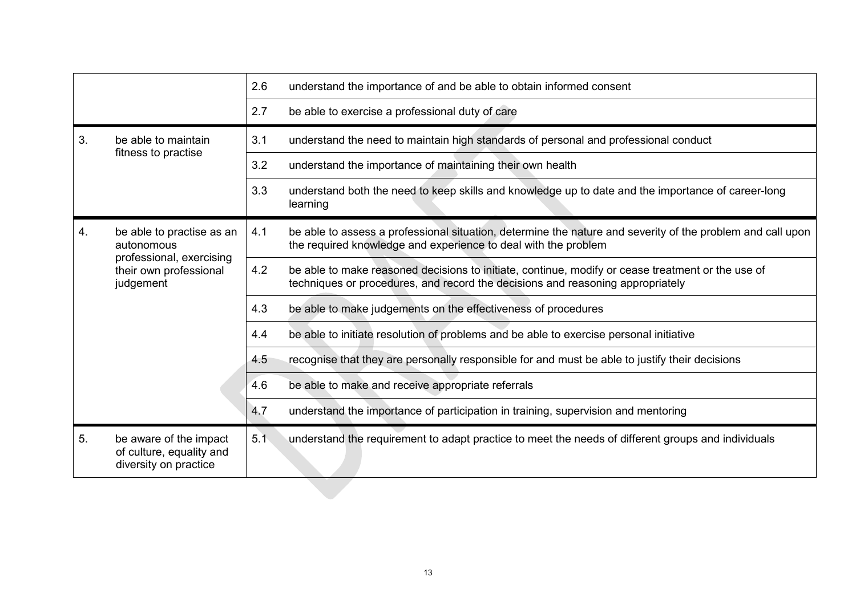|                                               |                                                                             | 2.6                                                                                                                                                                          | understand the importance of and be able to obtain informed consent                                                                                                                 |
|-----------------------------------------------|-----------------------------------------------------------------------------|------------------------------------------------------------------------------------------------------------------------------------------------------------------------------|-------------------------------------------------------------------------------------------------------------------------------------------------------------------------------------|
|                                               |                                                                             | 2.7                                                                                                                                                                          | be able to exercise a professional duty of care                                                                                                                                     |
| 3.                                            | be able to maintain                                                         | 3.1                                                                                                                                                                          | understand the need to maintain high standards of personal and professional conduct                                                                                                 |
|                                               | fitness to practise                                                         | 3.2                                                                                                                                                                          | understand the importance of maintaining their own health                                                                                                                           |
|                                               |                                                                             | 3.3                                                                                                                                                                          | understand both the need to keep skills and knowledge up to date and the importance of career-long<br>learning                                                                      |
| be able to practise as an<br>4.<br>autonomous | 4.1                                                                         | be able to assess a professional situation, determine the nature and severity of the problem and call upon<br>the required knowledge and experience to deal with the problem |                                                                                                                                                                                     |
|                                               | professional, exercising<br>their own professional<br>judgement             | 4.2                                                                                                                                                                          | be able to make reasoned decisions to initiate, continue, modify or cease treatment or the use of<br>techniques or procedures, and record the decisions and reasoning appropriately |
|                                               |                                                                             | 4.3                                                                                                                                                                          | be able to make judgements on the effectiveness of procedures                                                                                                                       |
|                                               |                                                                             | 4.4                                                                                                                                                                          | be able to initiate resolution of problems and be able to exercise personal initiative                                                                                              |
|                                               |                                                                             | 4.5                                                                                                                                                                          | recognise that they are personally responsible for and must be able to justify their decisions                                                                                      |
|                                               |                                                                             | 4.6                                                                                                                                                                          | be able to make and receive appropriate referrals                                                                                                                                   |
|                                               |                                                                             | 4.7                                                                                                                                                                          | understand the importance of participation in training, supervision and mentoring                                                                                                   |
| 5.                                            | be aware of the impact<br>of culture, equality and<br>diversity on practice | 5.1                                                                                                                                                                          | understand the requirement to adapt practice to meet the needs of different groups and individuals                                                                                  |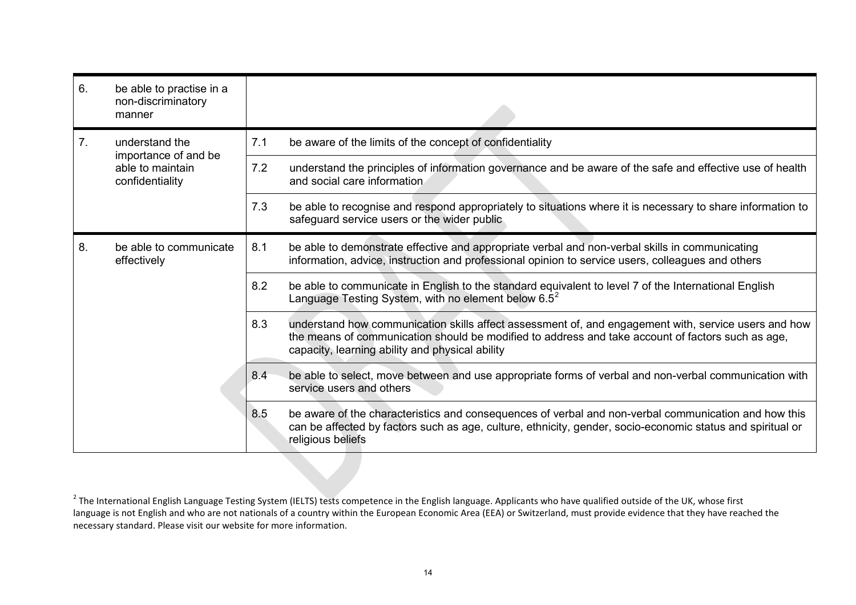| 6. | be able to practise in a<br>non-discriminatory<br>manner    |     |                                                                                                                                                                                                                                                              |
|----|-------------------------------------------------------------|-----|--------------------------------------------------------------------------------------------------------------------------------------------------------------------------------------------------------------------------------------------------------------|
| 7. | understand the                                              | 7.1 | be aware of the limits of the concept of confidentiality                                                                                                                                                                                                     |
|    | importance of and be<br>able to maintain<br>confidentiality | 7.2 | understand the principles of information governance and be aware of the safe and effective use of health<br>and social care information.                                                                                                                     |
|    |                                                             | 7.3 | be able to recognise and respond appropriately to situations where it is necessary to share information to<br>safeguard service users or the wider public                                                                                                    |
| 8. | be able to communicate<br>effectively                       | 8.1 | be able to demonstrate effective and appropriate verbal and non-verbal skills in communicating<br>information, advice, instruction and professional opinion to service users, colleagues and others                                                          |
|    |                                                             | 8.2 | be able to communicate in English to the standard equivalent to level 7 of the International English<br>Language Testing System, with no element below $6.5^2$                                                                                               |
|    |                                                             | 8.3 | understand how communication skills affect assessment of, and engagement with, service users and how<br>the means of communication should be modified to address and take account of factors such as age,<br>capacity, learning ability and physical ability |
|    |                                                             | 8.4 | be able to select, move between and use appropriate forms of verbal and non-verbal communication with<br>service users and others                                                                                                                            |
|    |                                                             | 8.5 | be aware of the characteristics and consequences of verbal and non-verbal communication and how this<br>can be affected by factors such as age, culture, ethnicity, gender, socio-economic status and spiritual or<br>religious beliefs                      |

 $^{2}$  The International English Language Testing System (IELTS) tests competence in the English language. Applicants who have qualified outside of the UK, whose first language is not English and who are not nationals of a country within the European Economic Area (EEA) or Switzerland, must provide evidence that they have reached the necessary standard. Please visit our website for more information.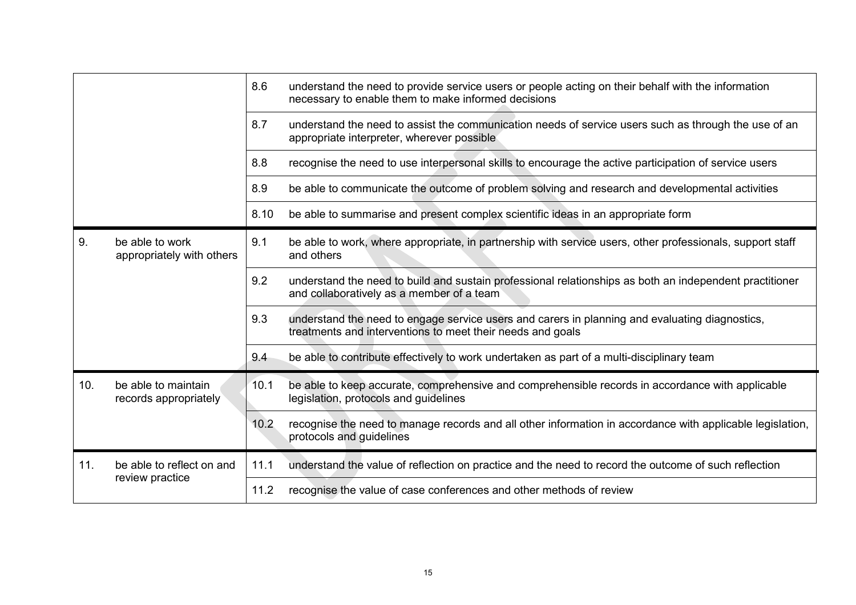|     |                                              | 8.6  | understand the need to provide service users or people acting on their behalf with the information<br>necessary to enable them to make informed decisions    |
|-----|----------------------------------------------|------|--------------------------------------------------------------------------------------------------------------------------------------------------------------|
|     |                                              | 8.7  | understand the need to assist the communication needs of service users such as through the use of an<br>appropriate interpreter, wherever possible           |
|     |                                              | 8.8  | recognise the need to use interpersonal skills to encourage the active participation of service users                                                        |
|     |                                              | 8.9  | be able to communicate the outcome of problem solving and research and developmental activities                                                              |
|     |                                              | 8.10 | be able to summarise and present complex scientific ideas in an appropriate form                                                                             |
| 9.  | be able to work<br>appropriately with others | 9.1  | be able to work, where appropriate, in partnership with service users, other professionals, support staff<br>and others                                      |
|     |                                              | 9.2  | understand the need to build and sustain professional relationships as both an independent practitioner<br>and collaboratively as a member of a team         |
|     |                                              | 9.3  | understand the need to engage service users and carers in planning and evaluating diagnostics,<br>treatments and interventions to meet their needs and goals |
|     |                                              | 9.4  | be able to contribute effectively to work undertaken as part of a multi-disciplinary team                                                                    |
| 10. | be able to maintain<br>records appropriately | 10.1 | be able to keep accurate, comprehensive and comprehensible records in accordance with applicable<br>legislation, protocols and guidelines                    |
|     |                                              | 10.2 | recognise the need to manage records and all other information in accordance with applicable legislation,<br>protocols and guidelines                        |
| 11. | be able to reflect on and                    | 11.1 | understand the value of reflection on practice and the need to record the outcome of such reflection                                                         |
|     | review practice                              | 11.2 | recognise the value of case conferences and other methods of review                                                                                          |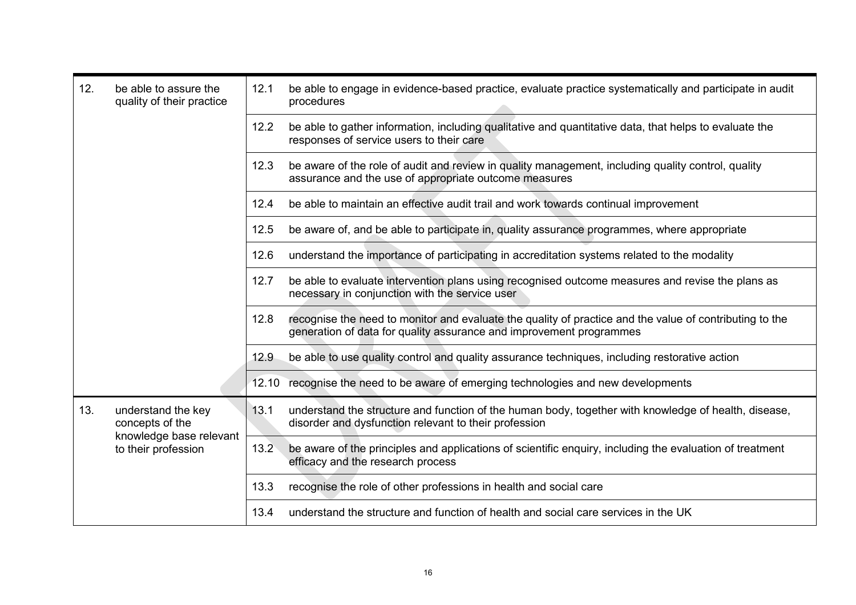| 12.<br>be able to assure the<br>quality of their practice |                                                | 12.1 | be able to engage in evidence-based practice, evaluate practice systematically and participate in audit<br>procedures                                                          |
|-----------------------------------------------------------|------------------------------------------------|------|--------------------------------------------------------------------------------------------------------------------------------------------------------------------------------|
|                                                           |                                                | 12.2 | be able to gather information, including qualitative and quantitative data, that helps to evaluate the<br>responses of service users to their care                             |
|                                                           |                                                | 12.3 | be aware of the role of audit and review in quality management, including quality control, quality<br>assurance and the use of appropriate outcome measures                    |
|                                                           |                                                | 12.4 | be able to maintain an effective audit trail and work towards continual improvement                                                                                            |
|                                                           |                                                | 12.5 | be aware of, and be able to participate in, quality assurance programmes, where appropriate                                                                                    |
|                                                           |                                                | 12.6 | understand the importance of participating in accreditation systems related to the modality                                                                                    |
|                                                           |                                                | 12.7 | be able to evaluate intervention plans using recognised outcome measures and revise the plans as<br>necessary in conjunction with the service user                             |
|                                                           |                                                | 12.8 | recognise the need to monitor and evaluate the quality of practice and the value of contributing to the<br>generation of data for quality assurance and improvement programmes |
|                                                           |                                                | 12.9 | be able to use quality control and quality assurance techniques, including restorative action                                                                                  |
|                                                           |                                                |      | 12.10 recognise the need to be aware of emerging technologies and new developments                                                                                             |
| 13.                                                       | understand the key<br>concepts of the          | 13.1 | understand the structure and function of the human body, together with knowledge of health, disease,<br>disorder and dysfunction relevant to their profession                  |
|                                                           | knowledge base relevant<br>to their profession | 13.2 | be aware of the principles and applications of scientific enquiry, including the evaluation of treatment<br>efficacy and the research process                                  |
|                                                           |                                                | 13.3 | recognise the role of other professions in health and social care                                                                                                              |
|                                                           |                                                | 13.4 | understand the structure and function of health and social care services in the UK                                                                                             |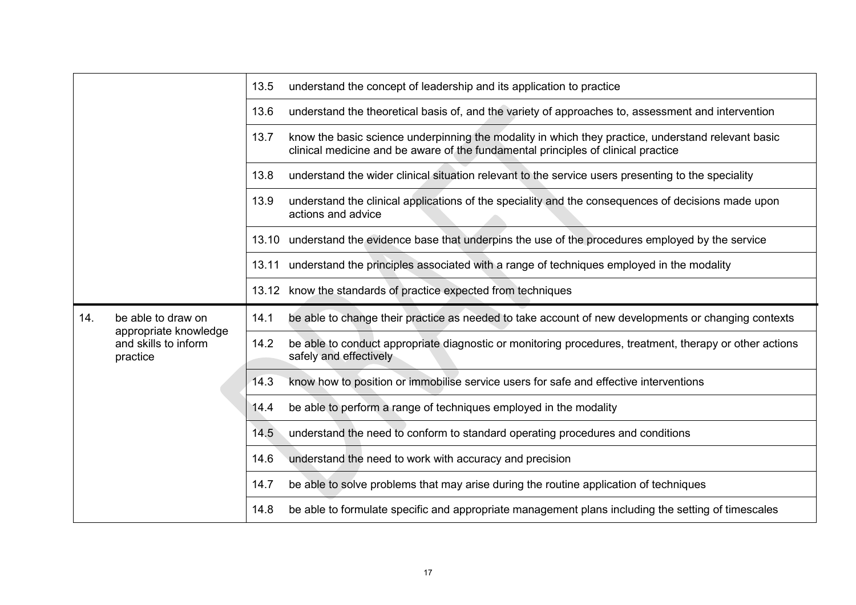|     |                                                           | 13.5 | understand the concept of leadership and its application to practice                                                                                                                    |
|-----|-----------------------------------------------------------|------|-----------------------------------------------------------------------------------------------------------------------------------------------------------------------------------------|
|     |                                                           | 13.6 | understand the theoretical basis of, and the variety of approaches to, assessment and intervention                                                                                      |
|     |                                                           | 13.7 | know the basic science underpinning the modality in which they practice, understand relevant basic<br>clinical medicine and be aware of the fundamental principles of clinical practice |
|     |                                                           | 13.8 | understand the wider clinical situation relevant to the service users presenting to the speciality                                                                                      |
|     |                                                           | 13.9 | understand the clinical applications of the speciality and the consequences of decisions made upon<br>actions and advice                                                                |
|     |                                                           |      | 13.10 understand the evidence base that underpins the use of the procedures employed by the service                                                                                     |
|     |                                                           |      | 13.11 understand the principles associated with a range of techniques employed in the modality                                                                                          |
|     |                                                           |      | 13.12 know the standards of practice expected from techniques                                                                                                                           |
|     |                                                           |      |                                                                                                                                                                                         |
| 14. | be able to draw on                                        | 14.1 | be able to change their practice as needed to take account of new developments or changing contexts                                                                                     |
|     | appropriate knowledge<br>and skills to inform<br>practice | 14.2 | be able to conduct appropriate diagnostic or monitoring procedures, treatment, therapy or other actions<br>safely and effectively                                                       |
|     |                                                           | 14.3 | know how to position or immobilise service users for safe and effective interventions                                                                                                   |
|     |                                                           | 14.4 | be able to perform a range of techniques employed in the modality                                                                                                                       |
|     |                                                           | 14.5 | understand the need to conform to standard operating procedures and conditions                                                                                                          |
|     |                                                           | 14.6 | understand the need to work with accuracy and precision                                                                                                                                 |
|     |                                                           | 14.7 | be able to solve problems that may arise during the routine application of techniques                                                                                                   |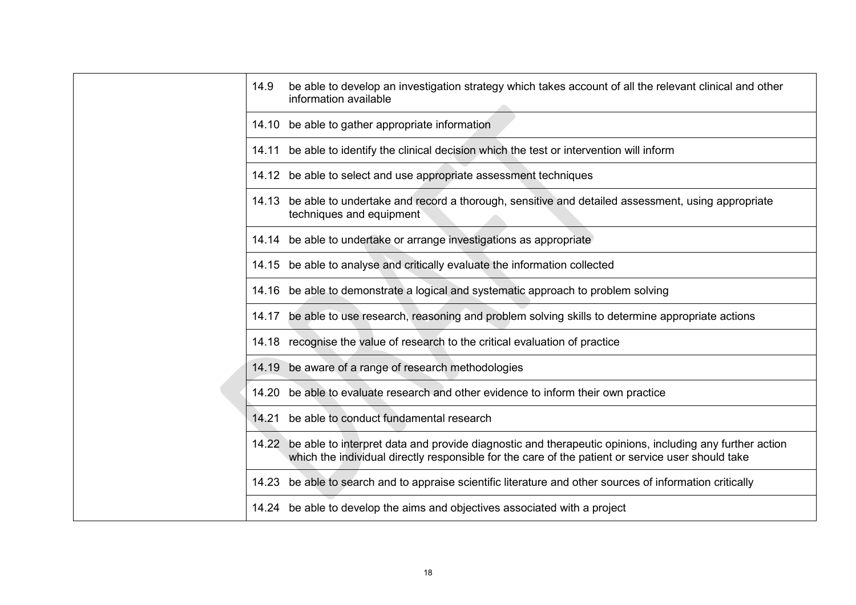|  | 14.9<br>be able to develop an investigation strategy which takes account of all the relevant clinical and other<br>information available                                                                           |
|--|--------------------------------------------------------------------------------------------------------------------------------------------------------------------------------------------------------------------|
|  | 14.10 be able to gather appropriate information                                                                                                                                                                    |
|  | 14.11 be able to identify the clinical decision which the test or intervention will inform                                                                                                                         |
|  | 14.12 be able to select and use appropriate assessment techniques                                                                                                                                                  |
|  | 14.13 be able to undertake and record a thorough, sensitive and detailed assessment, using appropriate<br>techniques and equipment                                                                                 |
|  | 14.14 be able to undertake or arrange investigations as appropriate                                                                                                                                                |
|  | 14.15 be able to analyse and critically evaluate the information collected                                                                                                                                         |
|  | 14.16 be able to demonstrate a logical and systematic approach to problem solving                                                                                                                                  |
|  | 14.17 be able to use research, reasoning and problem solving skills to determine appropriate actions                                                                                                               |
|  | 14.18 recognise the value of research to the critical evaluation of practice                                                                                                                                       |
|  | 14.19 be aware of a range of research methodologies                                                                                                                                                                |
|  | 14.20 be able to evaluate research and other evidence to inform their own practice                                                                                                                                 |
|  | 14.21 be able to conduct fundamental research                                                                                                                                                                      |
|  | 14.22 be able to interpret data and provide diagnostic and therapeutic opinions, including any further action<br>which the individual directly responsible for the care of the patient or service user should take |
|  | 14.23 be able to search and to appraise scientific literature and other sources of information critically                                                                                                          |
|  | 14.24 be able to develop the aims and objectives associated with a project                                                                                                                                         |